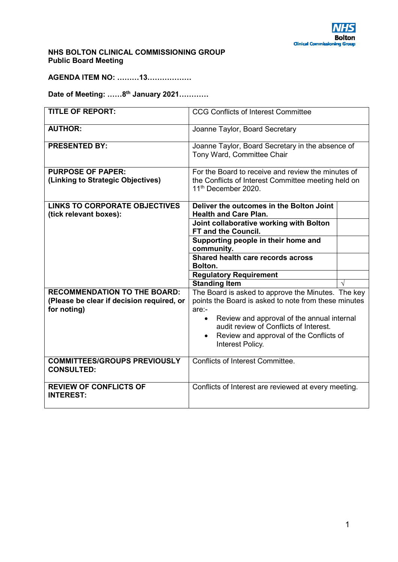

## **NHS BOLTON CLINICAL COMMISSIONING GROUP Public Board Meeting**

**AGENDA ITEM NO: ………13………………** 

**Date of Meeting: ……8th January 2021…………** 

| <b>TITLE OF REPORT:</b>                                                          | <b>CCG Conflicts of Interest Committee</b>                                                                                                                       |  |
|----------------------------------------------------------------------------------|------------------------------------------------------------------------------------------------------------------------------------------------------------------|--|
| <b>AUTHOR:</b>                                                                   | Joanne Taylor, Board Secretary                                                                                                                                   |  |
| <b>PRESENTED BY:</b>                                                             | Joanne Taylor, Board Secretary in the absence of<br>Tony Ward, Committee Chair                                                                                   |  |
| <b>PURPOSE OF PAPER:</b><br>(Linking to Strategic Objectives)                    | For the Board to receive and review the minutes of<br>the Conflicts of Interest Committee meeting held on<br>11 <sup>th</sup> December 2020.                     |  |
| <b>LINKS TO CORPORATE OBJECTIVES</b><br>(tick relevant boxes):                   | Deliver the outcomes in the Bolton Joint<br><b>Health and Care Plan.</b>                                                                                         |  |
|                                                                                  | Joint collaborative working with Bolton<br>FT and the Council.                                                                                                   |  |
|                                                                                  | Supporting people in their home and<br>community.                                                                                                                |  |
|                                                                                  | Shared health care records across<br>Bolton.                                                                                                                     |  |
|                                                                                  | <b>Regulatory Requirement</b>                                                                                                                                    |  |
|                                                                                  | <b>Standing Item</b>                                                                                                                                             |  |
| <b>RECOMMENDATION TO THE BOARD:</b><br>(Please be clear if decision required, or | The Board is asked to approve the Minutes. The key                                                                                                               |  |
| for noting)                                                                      | points the Board is asked to note from these minutes<br>$are: -$                                                                                                 |  |
|                                                                                  | Review and approval of the annual internal<br>$\bullet$<br>audit review of Conflicts of Interest.<br>Review and approval of the Conflicts of<br>Interest Policy. |  |
| <b>COMMITTEES/GROUPS PREVIOUSLY</b><br><b>CONSULTED:</b>                         | Conflicts of Interest Committee.                                                                                                                                 |  |
| <b>REVIEW OF CONFLICTS OF</b><br><b>INTEREST:</b>                                | Conflicts of Interest are reviewed at every meeting.                                                                                                             |  |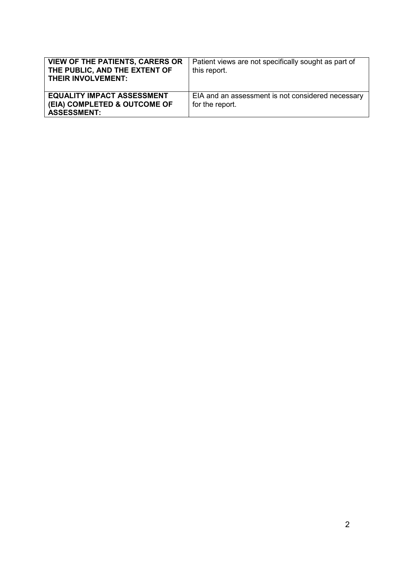| <b>VIEW OF THE PATIENTS, CARERS OR</b><br>THE PUBLIC, AND THE EXTENT OF<br><b>THEIR INVOLVEMENT:</b> | Patient views are not specifically sought as part of<br>this report. |
|------------------------------------------------------------------------------------------------------|----------------------------------------------------------------------|
| <b>EQUALITY IMPACT ASSESSMENT</b><br>(EIA) COMPLETED & OUTCOME OF<br><b>ASSESSMENT:</b>              | EIA and an assessment is not considered necessary<br>for the report. |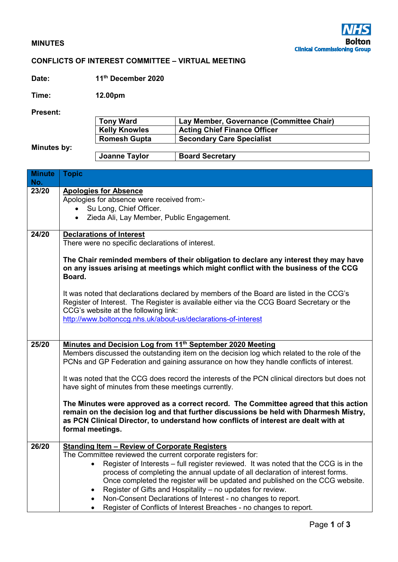## **MINUTES**

## **CONFLICTS OF INTEREST COMMITTEE – VIRTUAL MEETING**

**Date: 11th December 2020** 

**Time: 12.00pm** 

**Present:** 

| .           |                      |                                          |
|-------------|----------------------|------------------------------------------|
|             | <b>Tony Ward</b>     | Lay Member, Governance (Committee Chair) |
|             | <b>Kelly Knowles</b> | <b>Acting Chief Finance Officer</b>      |
|             | <b>Romesh Gupta</b>  | <b>Secondary Care Specialist</b>         |
| Minutes by: |                      |                                          |
|             | Joanne Taylor        | <b>Board Secretary</b>                   |

| <b>Minute</b> | <b>Topic</b>                                                                                     |  |
|---------------|--------------------------------------------------------------------------------------------------|--|
| No.           |                                                                                                  |  |
| 23/20         | <b>Apologies for Absence</b>                                                                     |  |
|               | Apologies for absence were received from:-                                                       |  |
|               | Su Long, Chief Officer.<br>$\bullet$                                                             |  |
|               | Zieda Ali, Lay Member, Public Engagement.<br>$\bullet$                                           |  |
|               |                                                                                                  |  |
| 24/20         | <b>Declarations of Interest</b>                                                                  |  |
|               | There were no specific declarations of interest.                                                 |  |
|               |                                                                                                  |  |
|               | The Chair reminded members of their obligation to declare any interest they may have             |  |
|               | on any issues arising at meetings which might conflict with the business of the CCG              |  |
|               | Board.                                                                                           |  |
|               |                                                                                                  |  |
|               | It was noted that declarations declared by members of the Board are listed in the CCG's          |  |
|               | Register of Interest. The Register is available either via the CCG Board Secretary or the        |  |
|               |                                                                                                  |  |
|               | CCG's website at the following link:                                                             |  |
|               | http://www.boltonccg.nhs.uk/about-us/declarations-of-interest                                    |  |
|               |                                                                                                  |  |
|               |                                                                                                  |  |
| 25/20         | Minutes and Decision Log from 11 <sup>th</sup> September 2020 Meeting                            |  |
|               | Members discussed the outstanding item on the decision log which related to the role of the      |  |
|               | PCNs and GP Federation and gaining assurance on how they handle conflicts of interest.           |  |
|               |                                                                                                  |  |
|               | It was noted that the CCG does record the interests of the PCN clinical directors but does not   |  |
|               | have sight of minutes from these meetings currently.                                             |  |
|               |                                                                                                  |  |
|               | The Minutes were approved as a correct record. The Committee agreed that this action             |  |
|               | remain on the decision log and that further discussions be held with Dharmesh Mistry,            |  |
|               | as PCN Clinical Director, to understand how conflicts of interest are dealt with at              |  |
|               | formal meetings.                                                                                 |  |
|               |                                                                                                  |  |
| 26/20         | <b>Standing Item - Review of Corporate Registers</b>                                             |  |
|               | The Committee reviewed the current corporate registers for:                                      |  |
|               | Register of Interests – full register reviewed. It was noted that the CCG is in the<br>$\bullet$ |  |
|               | process of completing the annual update of all declaration of interest forms.                    |  |
|               | Once completed the register will be updated and published on the CCG website.                    |  |
|               | Register of Gifts and Hospitality - no updates for review.<br>$\bullet$                          |  |
|               |                                                                                                  |  |
|               | Non-Consent Declarations of Interest - no changes to report.                                     |  |
|               | Register of Conflicts of Interest Breaches - no changes to report.                               |  |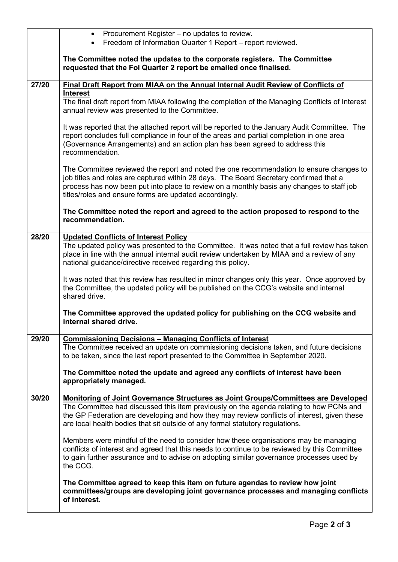|       | Procurement Register – no updates to review.<br>$\bullet$                                                                                                                                                                                                                                                                                |
|-------|------------------------------------------------------------------------------------------------------------------------------------------------------------------------------------------------------------------------------------------------------------------------------------------------------------------------------------------|
|       | Freedom of Information Quarter 1 Report - report reviewed.<br>$\bullet$                                                                                                                                                                                                                                                                  |
|       | The Committee noted the updates to the corporate registers. The Committee<br>requested that the Fol Quarter 2 report be emailed once finalised.                                                                                                                                                                                          |
| 27/20 | Final Draft Report from MIAA on the Annual Internal Audit Review of Conflicts of                                                                                                                                                                                                                                                         |
|       | <b>Interest</b>                                                                                                                                                                                                                                                                                                                          |
|       | The final draft report from MIAA following the completion of the Managing Conflicts of Interest<br>annual review was presented to the Committee.                                                                                                                                                                                         |
|       | It was reported that the attached report will be reported to the January Audit Committee. The<br>report concludes full compliance in four of the areas and partial completion in one area<br>(Governance Arrangements) and an action plan has been agreed to address this<br>recommendation.                                             |
|       | The Committee reviewed the report and noted the one recommendation to ensure changes to<br>job titles and roles are captured within 28 days. The Board Secretary confirmed that a<br>process has now been put into place to review on a monthly basis any changes to staff job<br>titles/roles and ensure forms are updated accordingly. |
|       | The Committee noted the report and agreed to the action proposed to respond to the<br>recommendation.                                                                                                                                                                                                                                    |
| 28/20 | <b>Updated Conflicts of Interest Policy</b>                                                                                                                                                                                                                                                                                              |
|       | The updated policy was presented to the Committee. It was noted that a full review has taken<br>place in line with the annual internal audit review undertaken by MIAA and a review of any<br>national guidance/directive received regarding this policy.                                                                                |
|       | It was noted that this review has resulted in minor changes only this year. Once approved by<br>the Committee, the updated policy will be published on the CCG's website and internal<br>shared drive.                                                                                                                                   |
|       | The Committee approved the updated policy for publishing on the CCG website and<br>internal shared drive.                                                                                                                                                                                                                                |
| 29/20 | <b>Commissioning Decisions - Managing Conflicts of Interest</b>                                                                                                                                                                                                                                                                          |
|       | The Committee received an update on commissioning decisions taken, and future decisions<br>to be taken, since the last report presented to the Committee in September 2020.                                                                                                                                                              |
|       | The Committee noted the update and agreed any conflicts of interest have been<br>appropriately managed.                                                                                                                                                                                                                                  |
| 30/20 | <b>Monitoring of Joint Governance Structures as Joint Groups/Committees are Developed</b>                                                                                                                                                                                                                                                |
|       | The Committee had discussed this item previously on the agenda relating to how PCNs and<br>the GP Federation are developing and how they may review conflicts of interest, given these<br>are local health bodies that sit outside of any formal statutory regulations.                                                                  |
|       | Members were mindful of the need to consider how these organisations may be managing<br>conflicts of interest and agreed that this needs to continue to be reviewed by this Committee<br>to gain further assurance and to advise on adopting similar governance processes used by<br>the CCG.                                            |
|       | The Committee agreed to keep this item on future agendas to review how joint<br>committees/groups are developing joint governance processes and managing conflicts<br>of interest.                                                                                                                                                       |